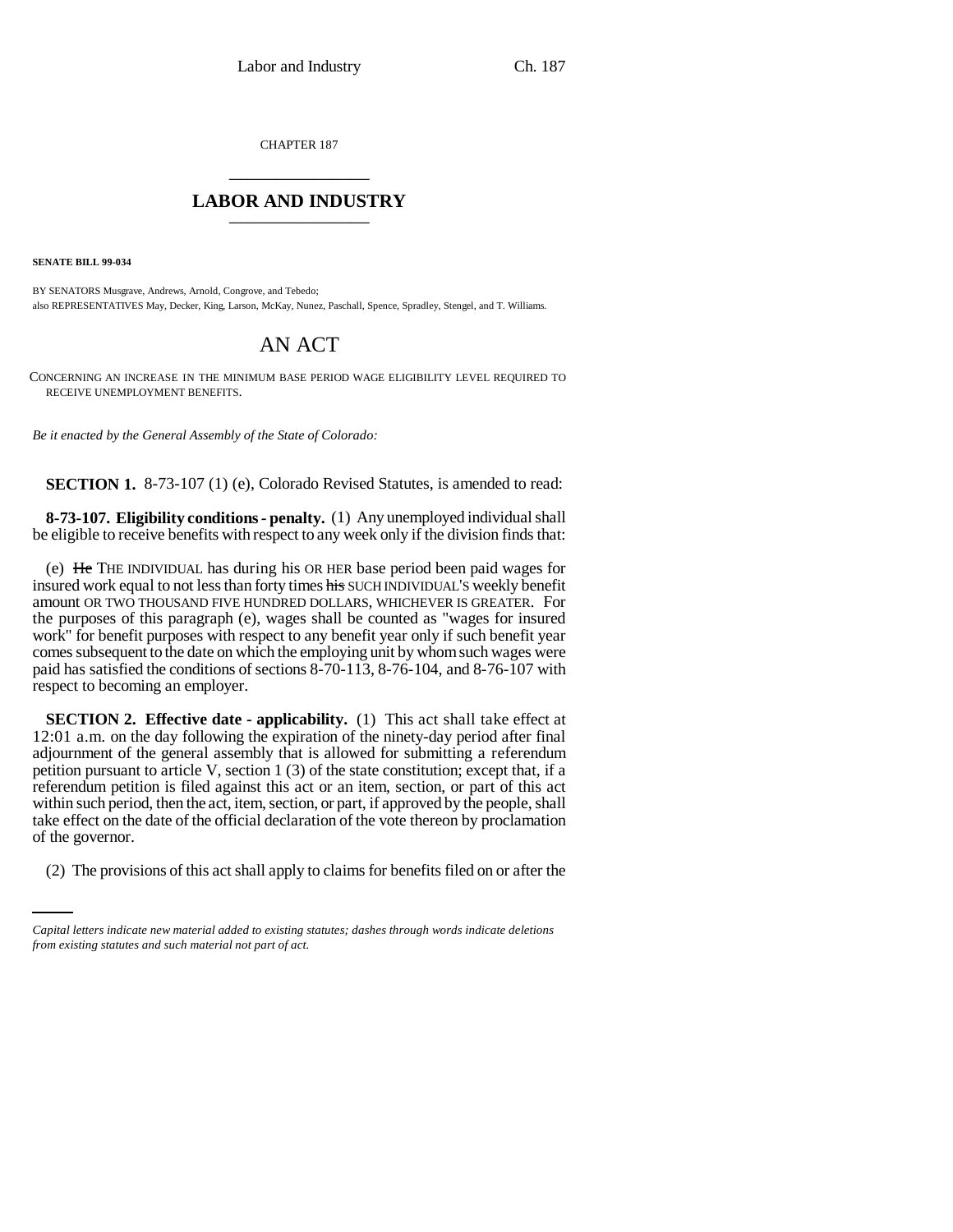CHAPTER 187 \_\_\_\_\_\_\_\_\_\_\_\_\_\_\_

## **LABOR AND INDUSTRY** \_\_\_\_\_\_\_\_\_\_\_\_\_\_\_

**SENATE BILL 99-034** 

BY SENATORS Musgrave, Andrews, Arnold, Congrove, and Tebedo; also REPRESENTATIVES May, Decker, King, Larson, McKay, Nunez, Paschall, Spence, Spradley, Stengel, and T. Williams.

## AN ACT

CONCERNING AN INCREASE IN THE MINIMUM BASE PERIOD WAGE ELIGIBILITY LEVEL REQUIRED TO RECEIVE UNEMPLOYMENT BENEFITS.

*Be it enacted by the General Assembly of the State of Colorado:*

**SECTION 1.** 8-73-107 (1) (e), Colorado Revised Statutes, is amended to read:

**8-73-107. Eligibility conditions - penalty.** (1) Any unemployed individual shall be eligible to receive benefits with respect to any week only if the division finds that:

(e) He THE INDIVIDUAL has during his OR HER base period been paid wages for insured work equal to not less than forty times his SUCH INDIVIDUAL'S weekly benefit amount OR TWO THOUSAND FIVE HUNDRED DOLLARS, WHICHEVER IS GREATER. For the purposes of this paragraph (e), wages shall be counted as "wages for insured work" for benefit purposes with respect to any benefit year only if such benefit year comes subsequent to the date on which the employing unit by whom such wages were paid has satisfied the conditions of sections 8-70-113, 8-76-104, and 8-76-107 with respect to becoming an employer.

of the governor. **SECTION 2. Effective date - applicability.** (1) This act shall take effect at 12:01 a.m. on the day following the expiration of the ninety-day period after final adjournment of the general assembly that is allowed for submitting a referendum petition pursuant to article V, section 1 (3) of the state constitution; except that, if a referendum petition is filed against this act or an item, section, or part of this act within such period, then the act, item, section, or part, if approved by the people, shall take effect on the date of the official declaration of the vote thereon by proclamation

(2) The provisions of this act shall apply to claims for benefits filed on or after the

*Capital letters indicate new material added to existing statutes; dashes through words indicate deletions from existing statutes and such material not part of act.*